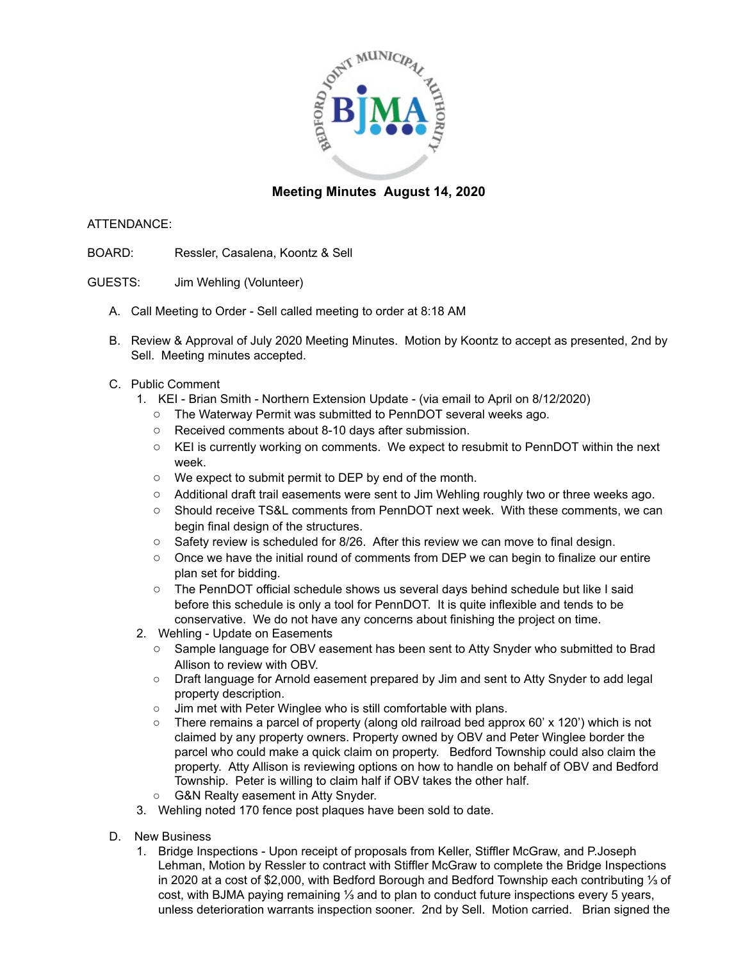

## **Meeting Minutes August 14, 2020**

## ATTENDANCE:

- BOARD: Ressler, Casalena, Koontz & Sell
- GUESTS: Jim Wehling (Volunteer)
	- A. Call Meeting to Order Sell called meeting to order at 8:18 AM
	- B. Review & Approval of July 2020 Meeting Minutes. Motion by Koontz to accept as presented, 2nd by Sell. Meeting minutes accepted.
	- C. Public Comment
		- 1. KEI Brian Smith Northern Extension Update (via email to April on 8/12/2020)
			- The Waterway Permit was submitted to PennDOT several weeks ago.
			- Received comments about 8-10 days after submission.
			- KEI is currently working on comments. We expect to resubmit to PennDOT within the next week.
			- We expect to submit permit to DEP by end of the month.
			- Additional draft trail easements were sent to Jim Wehling roughly two or three weeks ago.
			- Should receive TS&L comments from PennDOT next week. With these comments, we can begin final design of the structures.
			- $\circ$  Safety review is scheduled for 8/26. After this review we can move to final design.
			- Once we have the initial round of comments from DEP we can begin to finalize our entire plan set for bidding.
			- The PennDOT official schedule shows us several days behind schedule but like I said before this schedule is only a tool for PennDOT. It is quite inflexible and tends to be conservative. We do not have any concerns about finishing the project on time.
		- 2. Wehling Update on Easements
			- Sample language for OBV easement has been sent to Atty Snyder who submitted to Brad Allison to review with OBV.
			- Draft language for Arnold easement prepared by Jim and sent to Atty Snyder to add legal property description.
			- Jim met with Peter Winglee who is still comfortable with plans.
			- There remains a parcel of property (along old railroad bed approx 60' x 120') which is not claimed by any property owners. Property owned by OBV and Peter Winglee border the parcel who could make a quick claim on property. Bedford Township could also claim the property. Atty Allison is reviewing options on how to handle on behalf of OBV and Bedford Township. Peter is willing to claim half if OBV takes the other half.
			- G&N Realty easement in Atty Snyder.
		- 3. Wehling noted 170 fence post plaques have been sold to date.
	- D. New Business
		- 1. Bridge Inspections Upon receipt of proposals from Keller, Stiffler McGraw, and P.Joseph Lehman, Motion by Ressler to contract with Stiffler McGraw to complete the Bridge Inspections in 2020 at a cost of \$2,000, with Bedford Borough and Bedford Township each contributing ⅓ of cost, with BJMA paying remaining ⅓ and to plan to conduct future inspections every 5 years, unless deterioration warrants inspection sooner. 2nd by Sell. Motion carried. Brian signed the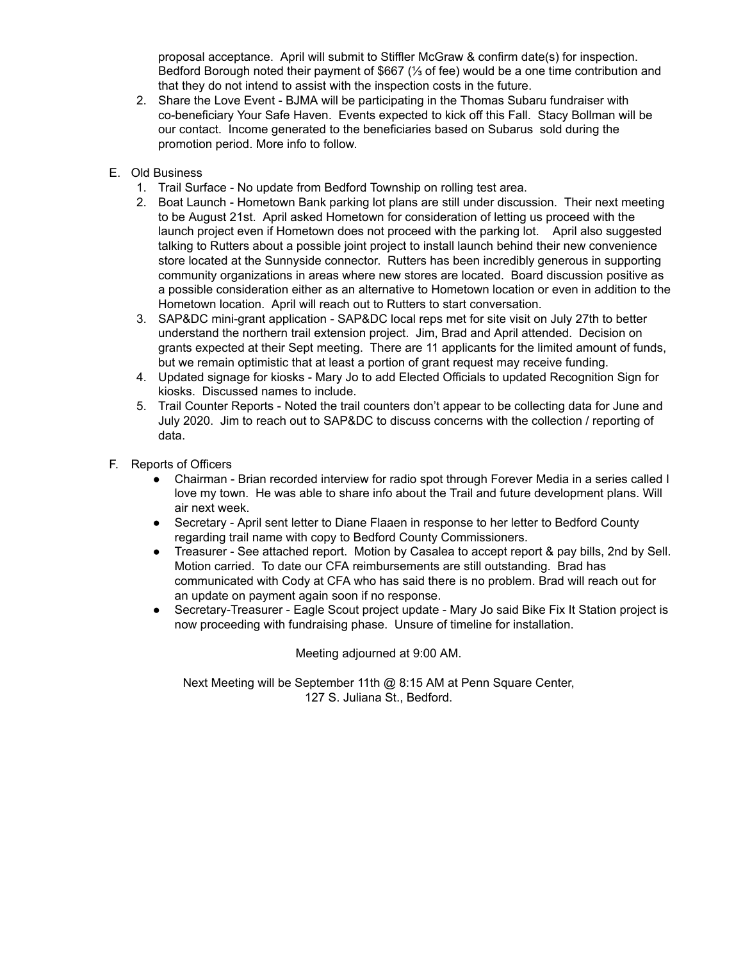proposal acceptance. April will submit to Stiffler McGraw & confirm date(s) for inspection. Bedford Borough noted their payment of \$667 (⅓ of fee) would be a one time contribution and that they do not intend to assist with the inspection costs in the future.

- 2. Share the Love Event BJMA will be participating in the Thomas Subaru fundraiser with co-beneficiary Your Safe Haven. Events expected to kick off this Fall. Stacy Bollman will be our contact. Income generated to the beneficiaries based on Subarus sold during the promotion period. More info to follow.
- E. Old Business
	- 1. Trail Surface No update from Bedford Township on rolling test area.
	- 2. Boat Launch Hometown Bank parking lot plans are still under discussion. Their next meeting to be August 21st. April asked Hometown for consideration of letting us proceed with the launch project even if Hometown does not proceed with the parking lot. April also suggested talking to Rutters about a possible joint project to install launch behind their new convenience store located at the Sunnyside connector. Rutters has been incredibly generous in supporting community organizations in areas where new stores are located. Board discussion positive as a possible consideration either as an alternative to Hometown location or even in addition to the Hometown location. April will reach out to Rutters to start conversation.
	- 3. SAP&DC mini-grant application SAP&DC local reps met for site visit on July 27th to better understand the northern trail extension project. Jim, Brad and April attended. Decision on grants expected at their Sept meeting. There are 11 applicants for the limited amount of funds, but we remain optimistic that at least a portion of grant request may receive funding.
	- 4. Updated signage for kiosks Mary Jo to add Elected Officials to updated Recognition Sign for kiosks. Discussed names to include.
	- 5. Trail Counter Reports Noted the trail counters don't appear to be collecting data for June and July 2020. Jim to reach out to SAP&DC to discuss concerns with the collection / reporting of data.
- F. Reports of Officers
	- Chairman Brian recorded interview for radio spot through Forever Media in a series called I love my town. He was able to share info about the Trail and future development plans. Will air next week.
	- Secretary April sent letter to Diane Flaaen in response to her letter to Bedford County regarding trail name with copy to Bedford County Commissioners.
	- Treasurer See attached report. Motion by Casalea to accept report & pay bills, 2nd by Sell. Motion carried. To date our CFA reimbursements are still outstanding. Brad has communicated with Cody at CFA who has said there is no problem. Brad will reach out for an update on payment again soon if no response.
	- Secretary-Treasurer Eagle Scout project update Mary Jo said Bike Fix It Station project is now proceeding with fundraising phase. Unsure of timeline for installation.

Meeting adjourned at 9:00 AM.

Next Meeting will be September 11th @ 8:15 AM at Penn Square Center, 127 S. Juliana St., Bedford.